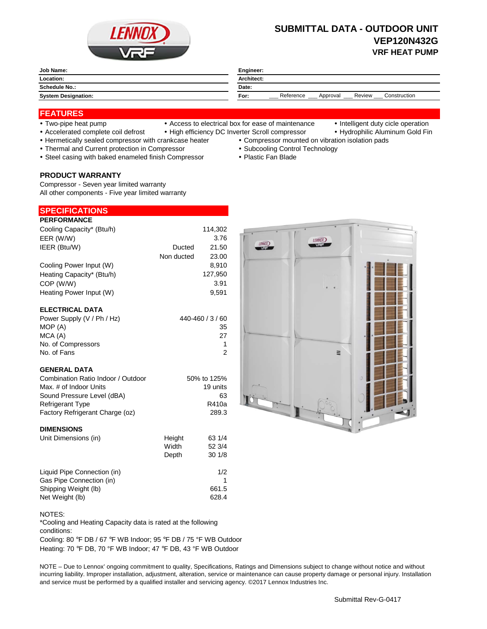

# **SUBMITTAL DATA - OUTDOOR UNIT VEP120N432G VRF HEAT PUMP**

| Job Name:                  | Engineer:                                               |  |
|----------------------------|---------------------------------------------------------|--|
| Location:                  | <b>Architect:</b>                                       |  |
| <b>Schedule No.:</b>       | Date:                                                   |  |
| <b>System Designation:</b> | Reference<br>Construction<br>Review<br>For:<br>Approval |  |

## **FEATURES**

- 
- Two-pipe heat pump Access to electrical box for ease of maintenance Intelligent duty cicle operation
- 
- Accelerated complete coil defrost High efficiency DC Inverter Scroll compressor Hydrophilic Aluminum Gold Fin
- Hermetically sealed compressor with crankcase heater Compressor mounted on vibration isolation pads
- Thermal and Current protection in Compressor **Subcooling Control Technology Subcooling Control Technology**
- Steel casing with baked enameled finish Compressor Plastic Fan Blade

#### **PRODUCT WARRANTY**

Compressor - Seven year limited warranty All other components - Five year limited warranty

| <b>SPECIFICATIONS</b>      |            |                  |
|----------------------------|------------|------------------|
| <b>PERFORMANCE</b>         |            |                  |
| Cooling Capacity* (Btu/h)  |            | 114,302          |
| EER (W/W)                  |            | 3.76             |
| IEER (Btu/W)               | Ducted     | 21.50            |
|                            | Non ducted | 23.00            |
| Cooling Power Input (W)    |            | 8.910            |
| Heating Capacity* (Btu/h)  |            | 127,950          |
| COP (W/W)                  |            | 3.91             |
| Heating Power Input (W)    |            | 9.591            |
| <b>ELECTRICAL DATA</b>     |            |                  |
| Power Supply (V / Ph / Hz) |            | 440-460 / 3 / 60 |
| MOD(4)                     |            | າ⊏               |

| MOP (A)            | 35 |
|--------------------|----|
| MCA (A)            | 27 |
| No. of Compressors | 1  |
| No. of Fans        | 2  |
|                    |    |

### **GENERAL DATA**

| Combination Ratio Indoor / Outdoor | 50% to 125% |
|------------------------------------|-------------|
| Max. # of Indoor Units             | 19 units    |
| Sound Pressure Level (dBA)         | 63          |
| <b>Refrigerant Type</b>            | R410a       |
| Factory Refrigerant Charge (oz)    | 289.3       |
|                                    |             |

#### **DIMENSIONS**

| Unit Dimensions (in)        | Height | 63 1/4 |
|-----------------------------|--------|--------|
|                             | Width  | 52 3/4 |
|                             | Depth  | 301/8  |
| Liquid Pipe Connection (in) |        | 1/2    |
| Gas Pipe Connection (in)    |        |        |
| Shipping Weight (lb)        |        | 661.5  |
| Net Weight (lb)             |        | 628.4  |



\*Cooling and Heating Capacity data is rated at the following conditions:

Cooling: 80 °F DB / 67 °F WB Indoor; 95 °F DB / 75 °F WB Outdoor Heating: 70 °F DB, 70 °F WB Indoor; 47 °F DB, 43 °F WB Outdoor

NOTE – Due to Lennox' ongoing commitment to quality, Specifications, Ratings and Dimensions subject to change without notice and without incurring liability. Improper installation, adjustment, alteration, service or maintenance can cause property damage or personal injury. Installation and service must be performed by a qualified installer and servicing agency. ©2017 Lennox Industries Inc.